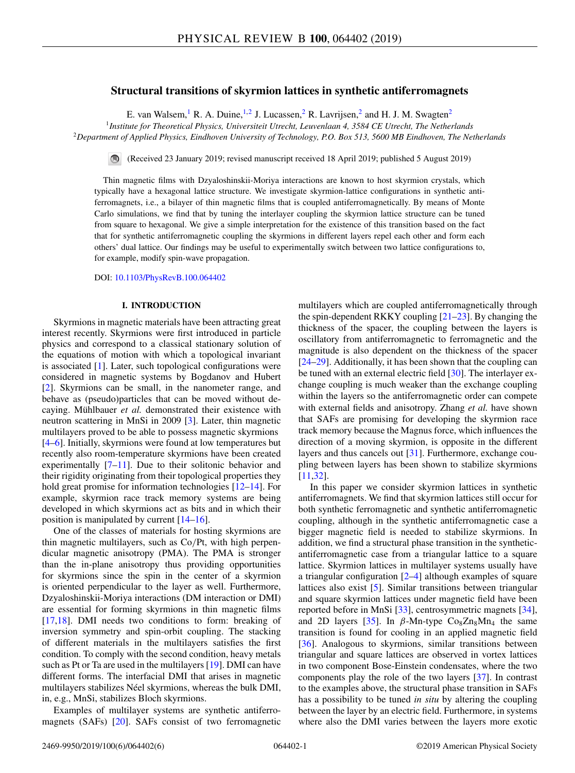# **Structural transitions of skyrmion lattices in synthetic antiferromagnets**

E. van Walsem, <sup>1</sup> R. A. Duine, <sup>1, 2</sup> J. Lucassen, <sup>2</sup> R. Lavrijsen, <sup>2</sup> and H. J. M. Swagten<sup>2</sup>

<sup>1</sup>*Institute for Theoretical Physics, Universiteit Utrecht, Leuvenlaan 4, 3584 CE Utrecht, The Netherlands*

<sup>2</sup>*Department of Applied Physics, Eindhoven University of Technology, P.O. Box 513, 5600 MB Eindhoven, The Netherlands*

(Received 23 January 2019; revised manuscript received 18 April 2019; published 5 August 2019)

Thin magnetic films with Dzyaloshinskii-Moriya interactions are known to host skyrmion crystals, which typically have a hexagonal lattice structure. We investigate skyrmion-lattice configurations in synthetic antiferromagnets, i.e., a bilayer of thin magnetic films that is coupled antiferromagnetically. By means of Monte Carlo simulations, we find that by tuning the interlayer coupling the skyrmion lattice structure can be tuned from square to hexagonal. We give a simple interpretation for the existence of this transition based on the fact that for synthetic antiferromagnetic coupling the skyrmions in different layers repel each other and form each others' dual lattice. Our findings may be useful to experimentally switch between two lattice configurations to, for example, modify spin-wave propagation.

DOI: [10.1103/PhysRevB.100.064402](https://doi.org/10.1103/PhysRevB.100.064402)

## **I. INTRODUCTION**

Skyrmions in magnetic materials have been attracting great interest recently. Skyrmions were first introduced in particle physics and correspond to a classical stationary solution of the equations of motion with which a topological invariant is associated [\[1\]](#page-4-0). Later, such topological configurations were considered in magnetic systems by Bogdanov and Hubert [\[2\]](#page-4-0). Skyrmions can be small, in the nanometer range, and behave as (pseudo)particles that can be moved without decaying. Mühlbauer *et al.* demonstrated their existence with neutron scattering in MnSi in 2009 [\[3\]](#page-4-0). Later, thin magnetic multilayers proved to be able to possess magnetic skyrmions [\[4–6\]](#page-4-0). Initially, skyrmions were found at low temperatures but recently also room-temperature skyrmions have been created experimentally [\[7–11\]](#page-4-0). Due to their solitonic behavior and their rigidity originating from their topological properties they hold great promise for information technologies [\[12–14\]](#page-4-0). For example, skyrmion race track memory systems are being developed in which skyrmions act as bits and in which their position is manipulated by current [\[14–16\]](#page-4-0).

One of the classes of materials for hosting skyrmions are thin magnetic multilayers, such as Co/Pt, with high perpendicular magnetic anisotropy (PMA). The PMA is stronger than the in-plane anisotropy thus providing opportunities for skyrmions since the spin in the center of a skyrmion is oriented perpendicular to the layer as well. Furthermore, Dzyaloshinskii-Moriya interactions (DM interaction or DMI) are essential for forming skyrmions in thin magnetic films [\[17,18\]](#page-4-0). DMI needs two conditions to form: breaking of inversion symmetry and spin-orbit coupling. The stacking of different materials in the multilayers satisfies the first condition. To comply with the second condition, heavy metals such as Pt or Ta are used in the multilayers [\[19\]](#page-4-0). DMI can have different forms. The interfacial DMI that arises in magnetic multilayers stabilizes Néel skyrmions, whereas the bulk DMI, in, e.g., MnSi, stabilizes Bloch skyrmions.

Examples of multilayer systems are synthetic antiferromagnets (SAFs) [\[20\]](#page-4-0). SAFs consist of two ferromagnetic

multilayers which are coupled antiferromagnetically through the spin-dependent RKKY coupling  $[21-23]$ . By changing the thickness of the spacer, the coupling between the layers is oscillatory from antiferromagnetic to ferromagnetic and the magnitude is also dependent on the thickness of the spacer [\[24–29\]](#page-4-0). Additionally, it has been shown that the coupling can be tuned with an external electric field [\[30\]](#page-4-0). The interlayer exchange coupling is much weaker than the exchange coupling within the layers so the antiferromagnetic order can compete with external fields and anisotropy. Zhang *et al.* have shown that SAFs are promising for developing the skyrmion race track memory because the Magnus force, which influences the direction of a moving skyrmion, is opposite in the different layers and thus cancels out [\[31\]](#page-4-0). Furthermore, exchange coupling between layers has been shown to stabilize skyrmions [\[11,32\]](#page-4-0).

In this paper we consider skyrmion lattices in synthetic antiferromagnets. We find that skyrmion lattices still occur for both synthetic ferromagnetic and synthetic antiferromagnetic coupling, although in the synthetic antiferromagnetic case a bigger magnetic field is needed to stabilize skyrmions. In addition, we find a structural phase transition in the syntheticantiferromagnetic case from a triangular lattice to a square lattice. Skyrmion lattices in multilayer systems usually have a triangular configuration [\[2–4\]](#page-4-0) although examples of square lattices also exist [\[5\]](#page-4-0). Similar transitions between triangular and square skyrmion lattices under magnetic field have been reported before in MnSi [\[33\]](#page-4-0), centrosymmetric magnets [\[34\]](#page-4-0), and 2D layers [\[35\]](#page-4-0). In  $\beta$ -Mn-type Co<sub>8</sub>Zn<sub>8</sub>Mn<sub>4</sub> the same transition is found for cooling in an applied magnetic field [\[36\]](#page-4-0). Analogous to skyrmions, similar transitions between triangular and square lattices are observed in vortex lattices in two component Bose-Einstein condensates, where the two components play the role of the two layers [\[37\]](#page-5-0). In contrast to the examples above, the structural phase transition in SAFs has a possibility to be tuned *in situ* by altering the coupling between the layer by an electric field. Furthermore, in systems where also the DMI varies between the layers more exotic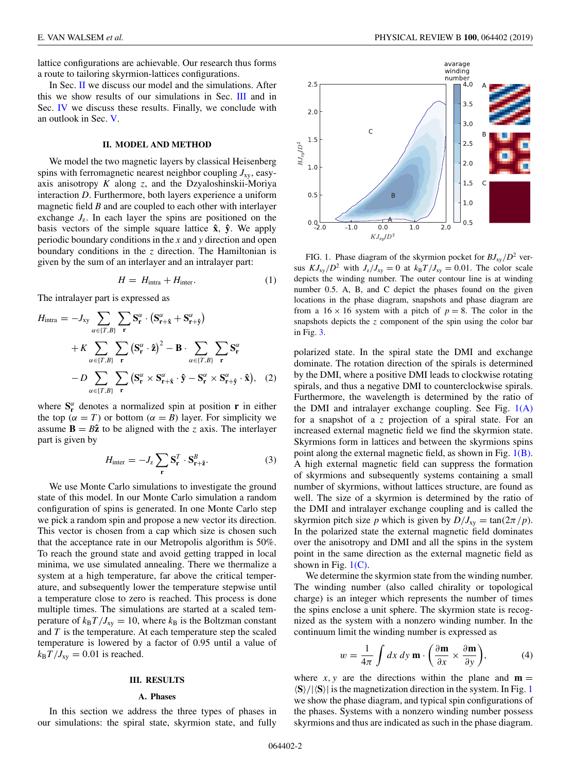lattice configurations are achievable. Our research thus forms a route to tailoring skyrmion-lattices configurations.

In Sec. II we discuss our model and the simulations. After this we show results of our simulations in Sec. III and in Sec. [IV](#page-2-0) we discuss these results. Finally, we conclude with an outlook in Sec. [V.](#page-3-0)

### **II. MODEL AND METHOD**

We model the two magnetic layers by classical Heisenberg spins with ferromagnetic nearest neighbor coupling  $J_{xy}$ , easyaxis anisotropy *K* along *z*, and the Dzyaloshinskii-Moriya interaction *D*. Furthermore, both layers experience a uniform magnetic field *B* and are coupled to each other with interlayer exchange  $J_z$ . In each layer the spins are positioned on the basis vectors of the simple square lattice **xˆ**, **yˆ**. We apply periodic boundary conditions in the *x* and *y* direction and open boundary conditions in the *z* direction. The Hamiltonian is given by the sum of an interlayer and an intralayer part:

$$
H = H_{\text{intra}} + H_{\text{inter}}.\tag{1}
$$

The intralayer part is expressed as

$$
H_{\text{intra}} = -J_{xy} \sum_{\alpha \in \{T, B\}} \sum_{\mathbf{r}} \mathbf{S}_{\mathbf{r}}^{\alpha} \cdot (\mathbf{S}_{\mathbf{r}+\hat{\mathbf{x}}}^{\alpha} + \mathbf{S}_{\mathbf{r}+\hat{\mathbf{y}}}^{\alpha})
$$
  
+  $K \sum_{\alpha \in \{T, B\}} \sum_{\mathbf{r}} (\mathbf{S}_{\mathbf{r}}^{\alpha} \cdot \hat{\mathbf{z}})^{2} - \mathbf{B} \cdot \sum_{\alpha \in \{T, B\}} \sum_{\mathbf{r}} \mathbf{S}_{\mathbf{r}}^{\alpha}$   
-  $D \sum_{\alpha \in \{T, B\}} \sum_{\mathbf{r}} (\mathbf{S}_{\mathbf{r}}^{\alpha} \times \mathbf{S}_{\mathbf{r}+\hat{\mathbf{x}}}^{\alpha} \cdot \hat{\mathbf{y}} - \mathbf{S}_{\mathbf{r}}^{\alpha} \times \mathbf{S}_{\mathbf{r}+\hat{\mathbf{y}}}^{\alpha} \cdot \hat{\mathbf{x}}), (2)$ 

where  $S_r^{\alpha}$  denotes a normalized spin at position **r** in either the top ( $\alpha = T$ ) or bottom ( $\alpha = B$ ) layer. For simplicity we assume  $\mathbf{B} = B\hat{\mathbf{z}}$  to be aligned with the *z* axis. The interlayer part is given by

$$
H_{\text{inter}} = -J_z \sum_{\mathbf{r}} \mathbf{S}_{\mathbf{r}}^T \cdot \mathbf{S}_{\mathbf{r} + \hat{\mathbf{z}}}^B.
$$
 (3)

We use Monte Carlo simulations to investigate the ground state of this model. In our Monte Carlo simulation a random configuration of spins is generated. In one Monte Carlo step we pick a random spin and propose a new vector its direction. This vector is chosen from a cap which size is chosen such that the acceptance rate in our Metropolis algorithm is 50%. To reach the ground state and avoid getting trapped in local minima, we use simulated annealing. There we thermalize a system at a high temperature, far above the critical temperature, and subsequently lower the temperature stepwise until a temperature close to zero is reached. This process is done multiple times. The simulations are started at a scaled temperature of  $k_B T / J_{xy} = 10$ , where  $k_B$  is the Boltzman constant and *T* is the temperature. At each temperature step the scaled temperature is lowered by a factor of 0.95 until a value of  $k_B T / J_{xy} = 0.01$  is reached.

## **III. RESULTS**

### **A. Phases**

In this section we address the three types of phases in our simulations: the spiral state, skyrmion state, and fully



FIG. 1. Phase diagram of the skyrmion pocket for  $BJ_{xy}/D^2$  versus  $KJ_{xy}/D^2$  with  $J_z/J_{xy} = 0$  at  $k_B T/J_{xy} = 0.01$ . The color scale depicts the winding number. The outer contour line is at winding number 0.5. A, B, and C depict the phases found on the given locations in the phase diagram, snapshots and phase diagram are from a  $16 \times 16$  system with a pitch of  $p = 8$ . The color in the snapshots depicts the *z* component of the spin using the color bar in Fig. [3.](#page-2-0)

polarized state. In the spiral state the DMI and exchange dominate. The rotation direction of the spirals is determined by the DMI, where a positive DMI leads to clockwise rotating spirals, and thus a negative DMI to counterclockwise spirals. Furthermore, the wavelength is determined by the ratio of the DMI and intralayer exchange coupling. See Fig. 1(A) for a snapshot of a *z* projection of a spiral state. For an increased external magnetic field we find the skyrmion state. Skyrmions form in lattices and between the skyrmions spins point along the external magnetic field, as shown in Fig.  $1(B)$ . A high external magnetic field can suppress the formation of skyrmions and subsequently systems containing a small number of skyrmions, without lattices structure, are found as well. The size of a skyrmion is determined by the ratio of the DMI and intralayer exchange coupling and is called the skyrmion pitch size *p* which is given by  $D/J_{xy} = \tan(2\pi/p)$ . In the polarized state the external magnetic field dominates over the anisotropy and DMI and all the spins in the system point in the same direction as the external magnetic field as shown in Fig.  $1(C)$ .

We determine the skyrmion state from the winding number. The winding number (also called chirality or topological charge) is an integer which represents the number of times the spins enclose a unit sphere. The skyrmion state is recognized as the system with a nonzero winding number. In the continuum limit the winding number is expressed as

$$
w = \frac{1}{4\pi} \int dx \, dy \, \mathbf{m} \cdot \left( \frac{\partial \mathbf{m}}{\partial x} \times \frac{\partial \mathbf{m}}{\partial y} \right), \tag{4}
$$

where  $x, y$  are the directions within the plane and  $m =$  $\langle S \rangle / |\langle S \rangle|$  is the magnetization direction in the system. In Fig. 1 we show the phase diagram, and typical spin configurations of the phases. Systems with a nonzero winding number possess skyrmions and thus are indicated as such in the phase diagram.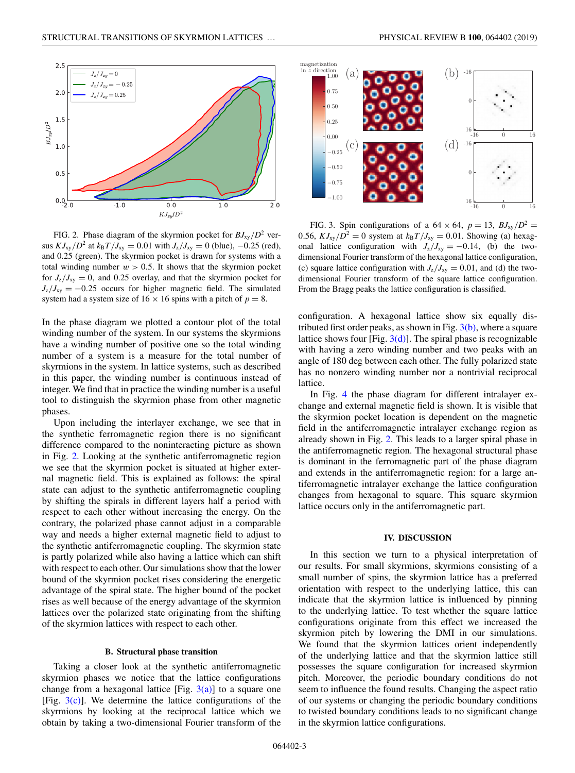<span id="page-2-0"></span>

FIG. 2. Phase diagram of the skyrmion pocket for  $BJ_{xy}/D^2$  versus  $KJ_{xy}/D^2$  at  $k_BT/J_{xy} = 0.01$  with  $J_z/J_{xy} = 0$  (blue),  $-0.25$  (red), and 0.25 (green). The skyrmion pocket is drawn for systems with a total winding number  $w > 0.5$ . It shows that the skyrmion pocket for  $J_z/J_{xy} = 0$ , and 0.25 overlay, and that the skyrmion pocket for  $J_z/J_{xy} = -0.25$  occurs for higher magnetic field. The simulated system had a system size of  $16 \times 16$  spins with a pitch of  $p = 8$ .

In the phase diagram we plotted a contour plot of the total winding number of the system. In our systems the skyrmions have a winding number of positive one so the total winding number of a system is a measure for the total number of skyrmions in the system. In lattice systems, such as described in this paper, the winding number is continuous instead of integer. We find that in practice the winding number is a useful tool to distinguish the skyrmion phase from other magnetic phases.

Upon including the interlayer exchange, we see that in the synthetic ferromagnetic region there is no significant difference compared to the noninteracting picture as shown in Fig. 2. Looking at the synthetic antiferromagnetic region we see that the skyrmion pocket is situated at higher external magnetic field. This is explained as follows: the spiral state can adjust to the synthetic antiferromagnetic coupling by shifting the spirals in different layers half a period with respect to each other without increasing the energy. On the contrary, the polarized phase cannot adjust in a comparable way and needs a higher external magnetic field to adjust to the synthetic antiferromagnetic coupling. The skyrmion state is partly polarized while also having a lattice which can shift with respect to each other. Our simulations show that the lower bound of the skyrmion pocket rises considering the energetic advantage of the spiral state. The higher bound of the pocket rises as well because of the energy advantage of the skyrmion lattices over the polarized state originating from the shifting of the skyrmion lattices with respect to each other.

#### **B. Structural phase transition**

Taking a closer look at the synthetic antiferromagnetic skyrmion phases we notice that the lattice configurations change from a hexagonal lattice [Fig.  $3(a)$ ] to a square one [Fig.  $3(c)$ ]. We determine the lattice configurations of the skyrmions by looking at the reciprocal lattice which we obtain by taking a two-dimensional Fourier transform of the



FIG. 3. Spin configurations of a  $64 \times 64$ ,  $p = 13$ ,  $B J_{xy}/D^2 =$ 0.56,  $KJ_{xy}/D^2 = 0$  system at  $k_BT/J_{xy} = 0.01$ . Showing (a) hexagonal lattice configuration with  $J_z/J_{xy} = -0.14$ , (b) the twodimensional Fourier transform of the hexagonal lattice configuration, (c) square lattice configuration with  $J_z/J_{xy} = 0.01$ , and (d) the twodimensional Fourier transform of the square lattice configuration. From the Bragg peaks the lattice configuration is classified.

configuration. A hexagonal lattice show six equally distributed first order peaks, as shown in Fig.  $3(b)$ , where a square lattice shows four [Fig.  $3(d)$ ]. The spiral phase is recognizable with having a zero winding number and two peaks with an angle of 180 deg between each other. The fully polarized state has no nonzero winding number nor a nontrivial reciprocal lattice.

In Fig. [4](#page-3-0) the phase diagram for different intralayer exchange and external magnetic field is shown. It is visible that the skyrmion pocket location is dependent on the magnetic field in the antiferromagnetic intralayer exchange region as already shown in Fig. 2. This leads to a larger spiral phase in the antiferromagnetic region. The hexagonal structural phase is dominant in the ferromagnetic part of the phase diagram and extends in the antiferromagnetic region: for a large antiferromagnetic intralayer exchange the lattice configuration changes from hexagonal to square. This square skyrmion lattice occurs only in the antiferromagnetic part.

#### **IV. DISCUSSION**

In this section we turn to a physical interpretation of our results. For small skyrmions, skyrmions consisting of a small number of spins, the skyrmion lattice has a preferred orientation with respect to the underlying lattice, this can indicate that the skyrmion lattice is influenced by pinning to the underlying lattice. To test whether the square lattice configurations originate from this effect we increased the skyrmion pitch by lowering the DMI in our simulations. We found that the skyrmion lattices orient independently of the underlying lattice and that the skyrmion lattice still possesses the square configuration for increased skyrmion pitch. Moreover, the periodic boundary conditions do not seem to influence the found results. Changing the aspect ratio of our systems or changing the periodic boundary conditions to twisted boundary conditions leads to no significant change in the skyrmion lattice configurations.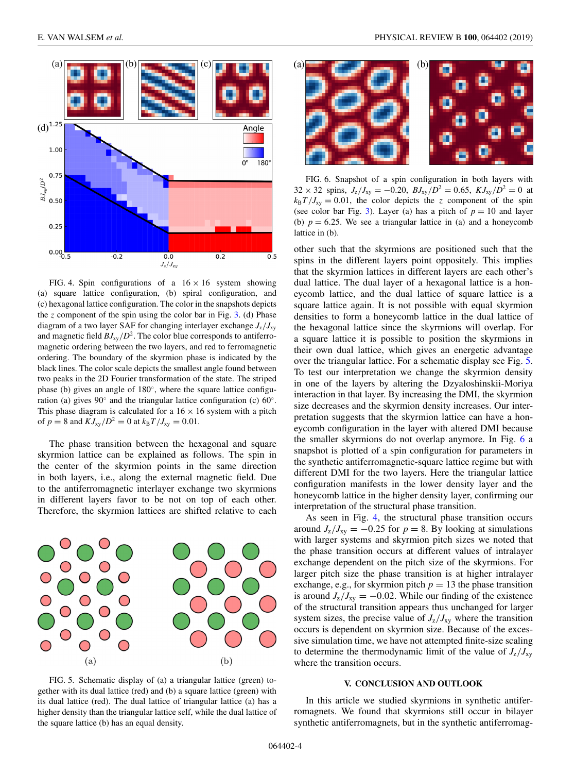<span id="page-3-0"></span>

FIG. 4. Spin configurations of a  $16 \times 16$  system showing (a) square lattice configuration, (b) spiral configuration, and (c) hexagonal lattice configuration. The color in the snapshots depicts the  $z$  component of the spin using the color bar in Fig.  $3$ . (d) Phase diagram of a two layer SAF for changing interlayer exchange  $J_z/J_{xy}$ and magnetic field  $BJ_{xy}/D^2$ . The color blue corresponds to antiferromagnetic ordering between the two layers, and red to ferromagnetic ordering. The boundary of the skyrmion phase is indicated by the black lines. The color scale depicts the smallest angle found between two peaks in the 2D Fourier transformation of the state. The striped phase (b) gives an angle of 180◦, where the square lattice configuration (a) gives 90◦ and the triangular lattice configuration (c) 60◦. This phase diagram is calculated for a  $16 \times 16$  system with a pitch of  $p = 8$  and  $KJ_{xy}/D^2 = 0$  at  $k_B T/J_{xy} = 0.01$ .

The phase transition between the hexagonal and square skyrmion lattice can be explained as follows. The spin in the center of the skyrmion points in the same direction in both layers, i.e., along the external magnetic field. Due to the antiferromagnetic interlayer exchange two skyrmions in different layers favor to be not on top of each other. Therefore, the skyrmion lattices are shifted relative to each



FIG. 5. Schematic display of (a) a triangular lattice (green) together with its dual lattice (red) and (b) a square lattice (green) with its dual lattice (red). The dual lattice of triangular lattice (a) has a higher density than the triangular lattice self, while the dual lattice of the square lattice (b) has an equal density.



FIG. 6. Snapshot of a spin configuration in both layers with  $32 \times 32$  spins,  $J_z/J_{xy} = -0.20$ ,  $BJ_{xy}/D^2 = 0.65$ ,  $KJ_{xy}/D^2 = 0$  at  $k_B T / J_{xy} = 0.01$ , the color depicts the *z* component of the spin (see color bar Fig. [3\)](#page-2-0). Layer (a) has a pitch of  $p = 10$  and layer (b)  $p = 6.25$ . We see a triangular lattice in (a) and a honeycomb lattice in (b).

other such that the skyrmions are positioned such that the spins in the different layers point oppositely. This implies that the skyrmion lattices in different layers are each other's dual lattice. The dual layer of a hexagonal lattice is a honeycomb lattice, and the dual lattice of square lattice is a square lattice again. It is not possible with equal skyrmion densities to form a honeycomb lattice in the dual lattice of the hexagonal lattice since the skyrmions will overlap. For a square lattice it is possible to position the skyrmions in their own dual lattice, which gives an energetic advantage over the triangular lattice. For a schematic display see Fig. 5. To test our interpretation we change the skyrmion density in one of the layers by altering the Dzyaloshinskii-Moriya interaction in that layer. By increasing the DMI, the skyrmion size decreases and the skyrmion density increases. Our interpretation suggests that the skyrmion lattice can have a honeycomb configuration in the layer with altered DMI because the smaller skyrmions do not overlap anymore. In Fig. 6 a snapshot is plotted of a spin configuration for parameters in the synthetic antiferromagnetic-square lattice regime but with different DMI for the two layers. Here the triangular lattice configuration manifests in the lower density layer and the honeycomb lattice in the higher density layer, confirming our interpretation of the structural phase transition.

As seen in Fig. 4, the structural phase transition occurs around  $J_z/J_{xy} = -0.25$  for  $p = 8$ . By looking at simulations with larger systems and skyrmion pitch sizes we noted that the phase transition occurs at different values of intralayer exchange dependent on the pitch size of the skyrmions. For larger pitch size the phase transition is at higher intralayer exchange, e.g., for skyrmion pitch  $p = 13$  the phase transition is around  $J_z/J_{xy} = -0.02$ . While our finding of the existence of the structural transition appears thus unchanged for larger system sizes, the precise value of  $J_z/J_{xy}$  where the transition occurs is dependent on skyrmion size. Because of the excessive simulation time, we have not attempted finite-size scaling to determine the thermodynamic limit of the value of  $J_z/J_{xy}$ where the transition occurs.

### **V. CONCLUSION AND OUTLOOK**

In this article we studied skyrmions in synthetic antiferromagnets. We found that skyrmions still occur in bilayer synthetic antiferromagnets, but in the synthetic antiferromag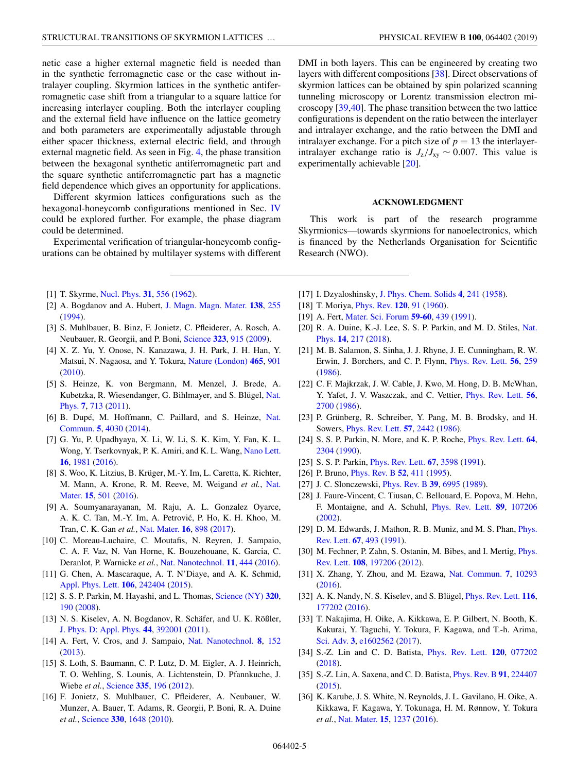<span id="page-4-0"></span>netic case a higher external magnetic field is needed than in the synthetic ferromagnetic case or the case without intralayer coupling. Skyrmion lattices in the synthetic antiferromagnetic case shift from a triangular to a square lattice for increasing interlayer coupling. Both the interlayer coupling and the external field have influence on the lattice geometry and both parameters are experimentally adjustable through either spacer thickness, external electric field, and through external magnetic field. As seen in Fig. [4,](#page-3-0) the phase transition between the hexagonal synthetic antiferromagnetic part and the square synthetic antiferromagnetic part has a magnetic field dependence which gives an opportunity for applications.

Different skyrmion lattices configurations such as the hexagonal-honeycomb configurations mentioned in Sec. [IV](#page-2-0) could be explored further. For example, the phase diagram could be determined.

Experimental verification of triangular-honeycomb configurations can be obtained by multilayer systems with different

- [1] T. Skyrme, [Nucl. Phys.](https://doi.org/10.1016/0029-5582(62)90775-7) **[31](https://doi.org/10.1016/0029-5582(62)90775-7)**, [556](https://doi.org/10.1016/0029-5582(62)90775-7) [\(1962\)](https://doi.org/10.1016/0029-5582(62)90775-7).
- [2] A. Bogdanov and A. Hubert, [J. Magn. Magn. Mater.](https://doi.org/10.1016/0304-8853(94)90046-9) **[138](https://doi.org/10.1016/0304-8853(94)90046-9)**, [255](https://doi.org/10.1016/0304-8853(94)90046-9) [\(1994\)](https://doi.org/10.1016/0304-8853(94)90046-9).
- [3] S. Muhlbauer, B. Binz, F. Jonietz, C. Pfleiderer, A. Rosch, A. Neubauer, R. Georgii, and P. Boni, [Science](https://doi.org/10.1126/science.1166767) **[323](https://doi.org/10.1126/science.1166767)**, [915](https://doi.org/10.1126/science.1166767) [\(2009\)](https://doi.org/10.1126/science.1166767).
- [4] X. Z. Yu, Y. Onose, N. Kanazawa, J. H. Park, J. H. Han, Y. Matsui, N. Nagaosa, and Y. Tokura, [Nature \(London\)](https://doi.org/10.1038/nature09124) **[465](https://doi.org/10.1038/nature09124)**, [901](https://doi.org/10.1038/nature09124) [\(2010\)](https://doi.org/10.1038/nature09124).
- [5] S. Heinze, K. von Bergmann, M. Menzel, J. Brede, A. [Kubetzka, R. Wiesendanger, G. Bihlmayer, and S. Blügel,](https://doi.org/10.1038/nphys2045) Nat. Phys. **[7](https://doi.org/10.1038/nphys2045)**, [713](https://doi.org/10.1038/nphys2045) [\(2011\)](https://doi.org/10.1038/nphys2045).
- [6] [B. Dupé, M. Hoffmann, C. Paillard, and S. Heinze,](https://doi.org/10.1038/ncomms5030) Nat. Commun. **[5](https://doi.org/10.1038/ncomms5030)**, [4030](https://doi.org/10.1038/ncomms5030) [\(2014\)](https://doi.org/10.1038/ncomms5030).
- [7] G. Yu, P. Upadhyaya, X. Li, W. Li, S. K. Kim, Y. Fan, K. L. Wong, Y. Tserkovnyak, P. K. Amiri, and K. L. Wang, [Nano Lett.](https://doi.org/10.1021/acs.nanolett.5b05257) **[16](https://doi.org/10.1021/acs.nanolett.5b05257)**, [1981](https://doi.org/10.1021/acs.nanolett.5b05257) [\(2016\)](https://doi.org/10.1021/acs.nanolett.5b05257).
- [8] S. Woo, K. Litzius, B. Krüger, M.-Y. Im, L. Caretta, K. Richter, [M. Mann, A. Krone, R. M. Reeve, M. Weigand](https://doi.org/10.1038/nmat4593) *et al.*, Nat. Mater. **[15](https://doi.org/10.1038/nmat4593)**, [501](https://doi.org/10.1038/nmat4593) [\(2016\)](https://doi.org/10.1038/nmat4593).
- [9] A. Soumyanarayanan, M. Raju, A. L. Gonzalez Oyarce, A. K. C. Tan, M.-Y. Im, A. Petrovic, P. Ho, K. H. Khoo, M. ´ Tran, C. K. Gan *et al.*, [Nat. Mater.](https://doi.org/10.1038/nmat4934) **[16](https://doi.org/10.1038/nmat4934)**, [898](https://doi.org/10.1038/nmat4934) [\(2017\)](https://doi.org/10.1038/nmat4934).
- [10] C. Moreau-Luchaire, C. Moutafis, N. Reyren, J. Sampaio, C. A. F. Vaz, N. Van Horne, K. Bouzehouane, K. Garcia, C. Deranlot, P. Warnicke *et al.*, [Nat. Nanotechnol.](https://doi.org/10.1038/nnano.2015.313) **[11](https://doi.org/10.1038/nnano.2015.313)**, [444](https://doi.org/10.1038/nnano.2015.313) [\(2016\)](https://doi.org/10.1038/nnano.2015.313).
- [11] G. Chen, A. Mascaraque, A. T. N'Diaye, and A. K. Schmid, [Appl. Phys. Lett.](https://doi.org/10.1063/1.4922726) **[106](https://doi.org/10.1063/1.4922726)**, [242404](https://doi.org/10.1063/1.4922726) [\(2015\)](https://doi.org/10.1063/1.4922726).
- [12] S. S. P. Parkin, M. Hayashi, and L. Thomas, [Science \(NY\)](https://doi.org/10.1126/science.1145799) **[320](https://doi.org/10.1126/science.1145799)**, [190](https://doi.org/10.1126/science.1145799) [\(2008\)](https://doi.org/10.1126/science.1145799).
- [13] N. S. Kiselev, A. N. Bogdanov, R. Schäfer, and U. K. Rößler, [J. Phys. D: Appl. Phys.](https://doi.org/10.1088/0022-3727/44/39/392001) **[44](https://doi.org/10.1088/0022-3727/44/39/392001)**, [392001](https://doi.org/10.1088/0022-3727/44/39/392001) [\(2011\)](https://doi.org/10.1088/0022-3727/44/39/392001).
- [14] A. Fert, V. Cros, and J. Sampaio, [Nat. Nanotechnol.](https://doi.org/10.1038/nnano.2013.29) **[8](https://doi.org/10.1038/nnano.2013.29)**, [152](https://doi.org/10.1038/nnano.2013.29) [\(2013\)](https://doi.org/10.1038/nnano.2013.29).
- [15] S. Loth, S. Baumann, C. P. Lutz, D. M. Eigler, A. J. Heinrich, T. O. Wehling, S. Lounis, A. Lichtenstein, D. Pfannkuche, J. Wiebe *et al.*, [Science](https://doi.org/10.1126/science.1214131) **[335](https://doi.org/10.1126/science.1214131)**, [196](https://doi.org/10.1126/science.1214131) [\(2012\)](https://doi.org/10.1126/science.1214131).
- [16] F. Jonietz, S. Muhlbauer, C. Pfleiderer, A. Neubauer, W. Munzer, A. Bauer, T. Adams, R. Georgii, P. Boni, R. A. Duine *et al.*, [Science](https://doi.org/10.1126/science.1195709) **[330](https://doi.org/10.1126/science.1195709)**, [1648](https://doi.org/10.1126/science.1195709) [\(2010\)](https://doi.org/10.1126/science.1195709).

DMI in both layers. This can be engineered by creating two layers with different compositions [\[38\]](#page-5-0). Direct observations of skyrmion lattices can be obtained by spin polarized scanning tunneling microscopy or Lorentz transmission electron microscopy [\[39,40\]](#page-5-0). The phase transition between the two lattice configurations is dependent on the ratio between the interlayer and intralayer exchange, and the ratio between the DMI and intralayer exchange. For a pitch size of  $p = 13$  the interlayerintralayer exchange ratio is  $J_z/J_{xy} \sim 0.007$ . This value is experimentally achievable [20].

### **ACKNOWLEDGMENT**

This work is part of the research programme Skyrmionics—towards skyrmions for nanoelectronics, which is financed by the Netherlands Organisation for Scientific Research (NWO).

- [17] I. Dzyaloshinsky, [J. Phys. Chem. Solids](https://doi.org/10.1016/0022-3697(58)90076-3) **[4](https://doi.org/10.1016/0022-3697(58)90076-3)**, [241](https://doi.org/10.1016/0022-3697(58)90076-3) [\(1958\)](https://doi.org/10.1016/0022-3697(58)90076-3).
- [18] T. Moriya, [Phys. Rev.](https://doi.org/10.1103/PhysRev.120.91) **[120](https://doi.org/10.1103/PhysRev.120.91)**, [91](https://doi.org/10.1103/PhysRev.120.91) [\(1960\)](https://doi.org/10.1103/PhysRev.120.91).
- [19] A. Fert, [Mater. Sci. Forum](https://doi.org/10.4028/www.scientific.net/MSF.59-60.439) **[59-60](https://doi.org/10.4028/www.scientific.net/MSF.59-60.439)**, [439](https://doi.org/10.4028/www.scientific.net/MSF.59-60.439) [\(1991\)](https://doi.org/10.4028/www.scientific.net/MSF.59-60.439).
- [20] [R. A. Duine, K.-J. Lee, S. S. P. Parkin, and M. D. Stiles,](https://doi.org/10.1038/s41567-018-0050-y) Nat. Phys. **[14](https://doi.org/10.1038/s41567-018-0050-y)**, [217](https://doi.org/10.1038/s41567-018-0050-y) [\(2018\)](https://doi.org/10.1038/s41567-018-0050-y).
- [21] M. B. Salamon, S. Sinha, J. J. Rhyne, J. E. Cunningham, R. W. Erwin, J. Borchers, and C. P. Flynn, [Phys. Rev. Lett.](https://doi.org/10.1103/PhysRevLett.56.259) **[56](https://doi.org/10.1103/PhysRevLett.56.259)**, [259](https://doi.org/10.1103/PhysRevLett.56.259) [\(1986\)](https://doi.org/10.1103/PhysRevLett.56.259).
- [22] C. F. Majkrzak, J. W. Cable, J. Kwo, M. Hong, D. B. McWhan, Y. Yafet, J. V. Waszczak, and C. Vettier, [Phys. Rev. Lett.](https://doi.org/10.1103/PhysRevLett.56.2700) **[56](https://doi.org/10.1103/PhysRevLett.56.2700)**, [2700](https://doi.org/10.1103/PhysRevLett.56.2700) [\(1986\)](https://doi.org/10.1103/PhysRevLett.56.2700).
- [23] P. Grünberg, R. Schreiber, Y. Pang, M. B. Brodsky, and H. Sowers, [Phys. Rev. Lett.](https://doi.org/10.1103/PhysRevLett.57.2442) **[57](https://doi.org/10.1103/PhysRevLett.57.2442)**, [2442](https://doi.org/10.1103/PhysRevLett.57.2442) [\(1986\)](https://doi.org/10.1103/PhysRevLett.57.2442).
- [24] S. S. P. Parkin, N. More, and K. P. Roche, [Phys. Rev. Lett.](https://doi.org/10.1103/PhysRevLett.64.2304) **[64](https://doi.org/10.1103/PhysRevLett.64.2304)**, [2304](https://doi.org/10.1103/PhysRevLett.64.2304) [\(1990\)](https://doi.org/10.1103/PhysRevLett.64.2304).
- [25] S. S. P. Parkin, [Phys. Rev. Lett.](https://doi.org/10.1103/PhysRevLett.67.3598) **[67](https://doi.org/10.1103/PhysRevLett.67.3598)**, [3598](https://doi.org/10.1103/PhysRevLett.67.3598) [\(1991\)](https://doi.org/10.1103/PhysRevLett.67.3598).
- [26] P. Bruno, [Phys. Rev. B](https://doi.org/10.1103/PhysRevB.52.411) **[52](https://doi.org/10.1103/PhysRevB.52.411)**, [411](https://doi.org/10.1103/PhysRevB.52.411) [\(1995\)](https://doi.org/10.1103/PhysRevB.52.411).
- [27] J. C. Slonczewski, [Phys. Rev. B](https://doi.org/10.1103/PhysRevB.39.6995) **[39](https://doi.org/10.1103/PhysRevB.39.6995)**, [6995](https://doi.org/10.1103/PhysRevB.39.6995) [\(1989\)](https://doi.org/10.1103/PhysRevB.39.6995).
- [28] J. Faure-Vincent, C. Tiusan, C. Bellouard, E. Popova, M. Hehn, F. Montaigne, and A. Schuhl, [Phys. Rev. Lett.](https://doi.org/10.1103/PhysRevLett.89.107206) **[89](https://doi.org/10.1103/PhysRevLett.89.107206)**, [107206](https://doi.org/10.1103/PhysRevLett.89.107206) [\(2002\)](https://doi.org/10.1103/PhysRevLett.89.107206).
- [29] [D. M. Edwards, J. Mathon, R. B. Muniz, and M. S. Phan,](https://doi.org/10.1103/PhysRevLett.67.493) *Phys.* Rev. Lett. **[67](https://doi.org/10.1103/PhysRevLett.67.493)**, [493](https://doi.org/10.1103/PhysRevLett.67.493) [\(1991\)](https://doi.org/10.1103/PhysRevLett.67.493).
- [30] [M. Fechner, P. Zahn, S. Ostanin, M. Bibes, and I. Mertig,](https://doi.org/10.1103/PhysRevLett.108.197206) *Phys.* Rev. Lett. **[108](https://doi.org/10.1103/PhysRevLett.108.197206)**, [197206](https://doi.org/10.1103/PhysRevLett.108.197206) [\(2012\)](https://doi.org/10.1103/PhysRevLett.108.197206).
- [31] X. Zhang, Y. Zhou, and M. Ezawa, [Nat. Commun.](https://doi.org/10.1038/ncomms10293) **[7](https://doi.org/10.1038/ncomms10293)**, [10293](https://doi.org/10.1038/ncomms10293) [\(2016\)](https://doi.org/10.1038/ncomms10293).
- [32] A. K. Nandy, N. S. Kiselev, and S. Blügel, [Phys. Rev. Lett.](https://doi.org/10.1103/PhysRevLett.116.177202) **[116](https://doi.org/10.1103/PhysRevLett.116.177202)**, [177202](https://doi.org/10.1103/PhysRevLett.116.177202) [\(2016\)](https://doi.org/10.1103/PhysRevLett.116.177202).
- [33] T. Nakajima, H. Oike, A. Kikkawa, E. P. Gilbert, N. Booth, K. Kakurai, Y. Taguchi, Y. Tokura, F. Kagawa, and T.-h. Arima, [Sci. Adv.](https://doi.org/10.1126/sciadv.1602562) **[3](https://doi.org/10.1126/sciadv.1602562)**, [e1602562](https://doi.org/10.1126/sciadv.1602562) [\(2017\)](https://doi.org/10.1126/sciadv.1602562).
- [34] S.-Z. Lin and C. D. Batista, [Phys. Rev. Lett.](https://doi.org/10.1103/PhysRevLett.120.077202) **[120](https://doi.org/10.1103/PhysRevLett.120.077202)**, [077202](https://doi.org/10.1103/PhysRevLett.120.077202) [\(2018\)](https://doi.org/10.1103/PhysRevLett.120.077202).
- [35] S.-Z. Lin, A. Saxena, and C. D. Batista, [Phys. Rev. B](https://doi.org/10.1103/PhysRevB.91.224407) **[91](https://doi.org/10.1103/PhysRevB.91.224407)**, [224407](https://doi.org/10.1103/PhysRevB.91.224407) [\(2015\)](https://doi.org/10.1103/PhysRevB.91.224407).
- [36] K. Karube, J. S. White, N. Reynolds, J. L. Gavilano, H. Oike, A. Kikkawa, F. Kagawa, Y. Tokunaga, H. M. Rønnow, Y. Tokura *et al.*, [Nat. Mater.](https://doi.org/10.1038/nmat4752) **[15](https://doi.org/10.1038/nmat4752)**, [1237](https://doi.org/10.1038/nmat4752) [\(2016\)](https://doi.org/10.1038/nmat4752).